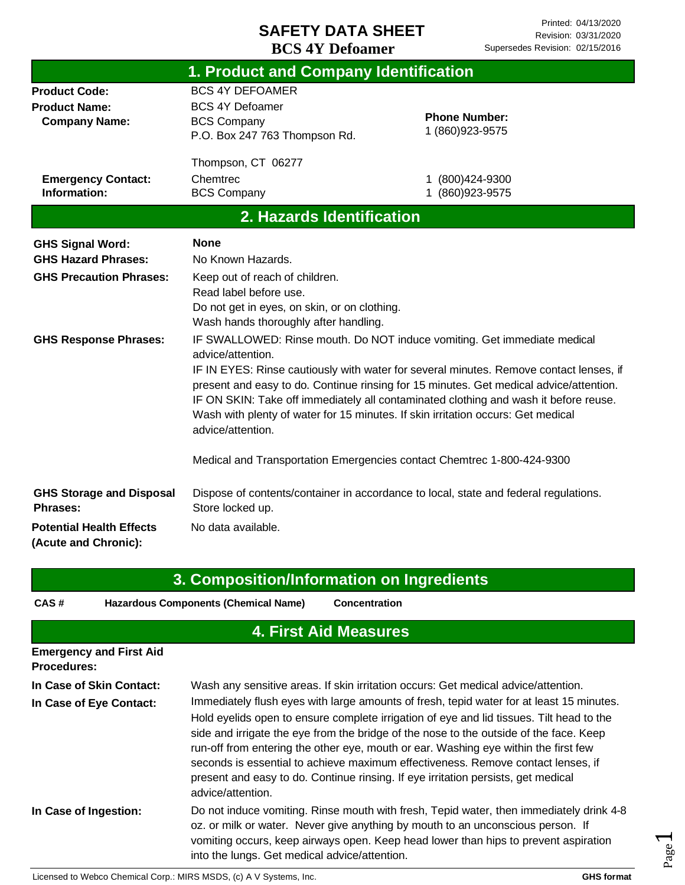|                                                                                         | 1. Product and Company Identification                                                                                                                                                 |                                                                                                                                                                                                                                                                                                                                                                                                                                                                                                                    |
|-----------------------------------------------------------------------------------------|---------------------------------------------------------------------------------------------------------------------------------------------------------------------------------------|--------------------------------------------------------------------------------------------------------------------------------------------------------------------------------------------------------------------------------------------------------------------------------------------------------------------------------------------------------------------------------------------------------------------------------------------------------------------------------------------------------------------|
| <b>Product Code:</b><br><b>Product Name:</b><br><b>Company Name:</b>                    | <b>BCS 4Y DEFOAMER</b><br><b>BCS 4Y Defoamer</b><br><b>BCS Company</b><br>P.O. Box 247 763 Thompson Rd.                                                                               | <b>Phone Number:</b><br>1 (860) 923-9575                                                                                                                                                                                                                                                                                                                                                                                                                                                                           |
| <b>Emergency Contact:</b><br>Information:                                               | Thompson, CT 06277<br>Chemtrec<br><b>BCS Company</b>                                                                                                                                  | (800)424-9300<br>1 (860) 923-9575                                                                                                                                                                                                                                                                                                                                                                                                                                                                                  |
|                                                                                         | 2. Hazards Identification                                                                                                                                                             |                                                                                                                                                                                                                                                                                                                                                                                                                                                                                                                    |
| <b>GHS Signal Word:</b><br><b>GHS Hazard Phrases:</b><br><b>GHS Precaution Phrases:</b> | <b>None</b><br>No Known Hazards.<br>Keep out of reach of children.<br>Read label before use.<br>Do not get in eyes, on skin, or on clothing.<br>Wash hands thoroughly after handling. |                                                                                                                                                                                                                                                                                                                                                                                                                                                                                                                    |
| <b>GHS Response Phrases:</b>                                                            | advice/attention.<br>advice/attention.                                                                                                                                                | IF SWALLOWED: Rinse mouth. Do NOT induce vomiting. Get immediate medical<br>IF IN EYES: Rinse cautiously with water for several minutes. Remove contact lenses, if<br>present and easy to do. Continue rinsing for 15 minutes. Get medical advice/attention.<br>IF ON SKIN: Take off immediately all contaminated clothing and wash it before reuse.<br>Wash with plenty of water for 15 minutes. If skin irritation occurs: Get medical<br>Medical and Transportation Emergencies contact Chemtrec 1-800-424-9300 |
| <b>GHS Storage and Disposal</b><br><b>Phrases:</b>                                      | Store locked up.                                                                                                                                                                      | Dispose of contents/container in accordance to local, state and federal regulations.                                                                                                                                                                                                                                                                                                                                                                                                                               |
| <b>Potential Health Effects</b><br>(Acute and Chronic):                                 | No data available.                                                                                                                                                                    |                                                                                                                                                                                                                                                                                                                                                                                                                                                                                                                    |

|                                                      | 3. Composition/Information on Ingredients                                                                                                                                                                                                                                                                                                                                                                                                                                                                                                                           |
|------------------------------------------------------|---------------------------------------------------------------------------------------------------------------------------------------------------------------------------------------------------------------------------------------------------------------------------------------------------------------------------------------------------------------------------------------------------------------------------------------------------------------------------------------------------------------------------------------------------------------------|
| CAS#                                                 | <b>Hazardous Components (Chemical Name)</b><br><b>Concentration</b>                                                                                                                                                                                                                                                                                                                                                                                                                                                                                                 |
|                                                      | <b>4. First Aid Measures</b>                                                                                                                                                                                                                                                                                                                                                                                                                                                                                                                                        |
| <b>Emergency and First Aid</b><br><b>Procedures:</b> |                                                                                                                                                                                                                                                                                                                                                                                                                                                                                                                                                                     |
| In Case of Skin Contact:                             | Wash any sensitive areas. If skin irritation occurs: Get medical advice/attention.                                                                                                                                                                                                                                                                                                                                                                                                                                                                                  |
| In Case of Eye Contact:                              | Immediately flush eyes with large amounts of fresh, tepid water for at least 15 minutes.<br>Hold eyelids open to ensure complete irrigation of eye and lid tissues. Tilt head to the<br>side and irrigate the eye from the bridge of the nose to the outside of the face. Keep<br>run-off from entering the other eye, mouth or ear. Washing eye within the first few<br>seconds is essential to achieve maximum effectiveness. Remove contact lenses, if<br>present and easy to do. Continue rinsing. If eye irritation persists, get medical<br>advice/attention. |
| In Case of Ingestion:                                | Do not induce vomiting. Rinse mouth with fresh, Tepid water, then immediately drink 4-8<br>oz. or milk or water. Never give anything by mouth to an unconscious person. If<br>vomiting occurs, keep airways open. Keep head lower than hips to prevent aspiration<br>into the lungs. Get medical advice/attention.                                                                                                                                                                                                                                                  |

Page  $\overline{\phantom{0}}$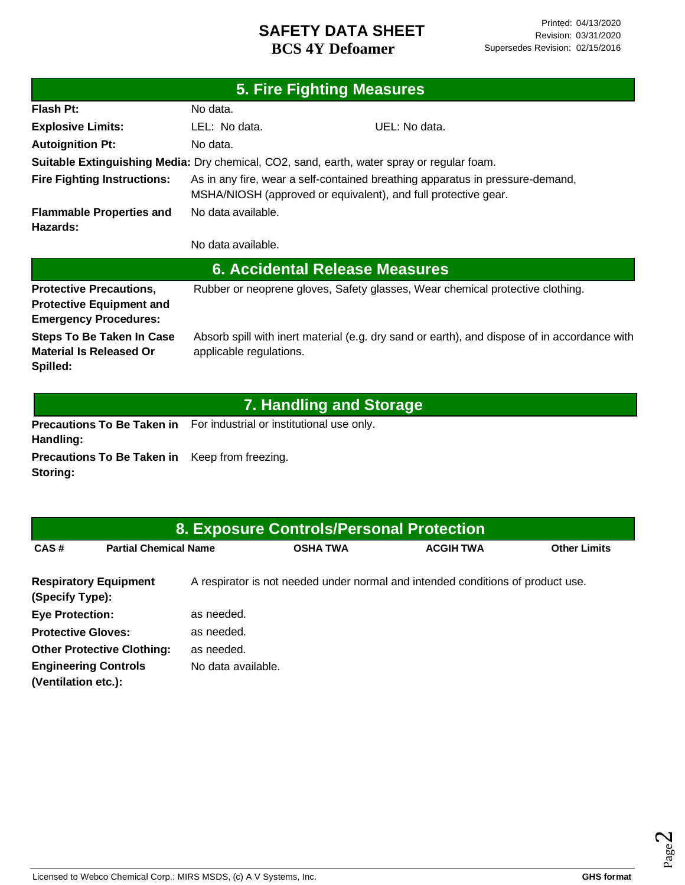|                                                                                                   |                                           | <b>5. Fire Fighting Measures</b>                                                                                                                |
|---------------------------------------------------------------------------------------------------|-------------------------------------------|-------------------------------------------------------------------------------------------------------------------------------------------------|
| Flash Pt:                                                                                         | No data.                                  |                                                                                                                                                 |
| <b>Explosive Limits:</b>                                                                          | LEL: No data.                             | UEL: No data.                                                                                                                                   |
| <b>Autoignition Pt:</b>                                                                           | No data.                                  |                                                                                                                                                 |
|                                                                                                   |                                           | Suitable Extinguishing Media: Dry chemical, CO2, sand, earth, water spray or regular foam.                                                      |
| <b>Fire Fighting Instructions:</b>                                                                |                                           | As in any fire, wear a self-contained breathing apparatus in pressure-demand,<br>MSHA/NIOSH (approved or equivalent), and full protective gear. |
| <b>Flammable Properties and</b><br>Hazards:                                                       | No data available.                        |                                                                                                                                                 |
|                                                                                                   | No data available.                        |                                                                                                                                                 |
|                                                                                                   |                                           | <b>6. Accidental Release Measures</b>                                                                                                           |
| <b>Protective Precautions,</b><br><b>Protective Equipment and</b><br><b>Emergency Procedures:</b> |                                           | Rubber or neoprene gloves, Safety glasses, Wear chemical protective clothing.                                                                   |
| <b>Steps To Be Taken In Case</b><br><b>Material Is Released Or</b><br>Spilled:                    | applicable regulations.                   | Absorb spill with inert material (e.g. dry sand or earth), and dispose of in accordance with                                                    |
|                                                                                                   |                                           | <b>7. Handling and Storage</b>                                                                                                                  |
| <b>Precautions To Be Taken in</b><br>Handling:                                                    | For industrial or institutional use only. |                                                                                                                                                 |
| <b>Drocoutions To De Taken in Keep from fronting</b>                                              |                                           |                                                                                                                                                 |

**Precautions To Be Taken in**  Keep from freezing. **Storing:**

|                                                    |                                   |                    | 8. Exposure Controls/Personal Protection |                                                                                 |                     |
|----------------------------------------------------|-----------------------------------|--------------------|------------------------------------------|---------------------------------------------------------------------------------|---------------------|
| CAS#                                               | <b>Partial Chemical Name</b>      |                    | <b>OSHA TWA</b>                          | <b>ACGIH TWA</b>                                                                | <b>Other Limits</b> |
| (Specify Type):                                    | <b>Respiratory Equipment</b>      |                    |                                          | A respirator is not needed under normal and intended conditions of product use. |                     |
| <b>Eye Protection:</b>                             |                                   | as needed.         |                                          |                                                                                 |                     |
| <b>Protective Gloves:</b>                          |                                   | as needed.         |                                          |                                                                                 |                     |
|                                                    | <b>Other Protective Clothing:</b> | as needed.         |                                          |                                                                                 |                     |
| <b>Engineering Controls</b><br>(Ventilation etc.): |                                   | No data available. |                                          |                                                                                 |                     |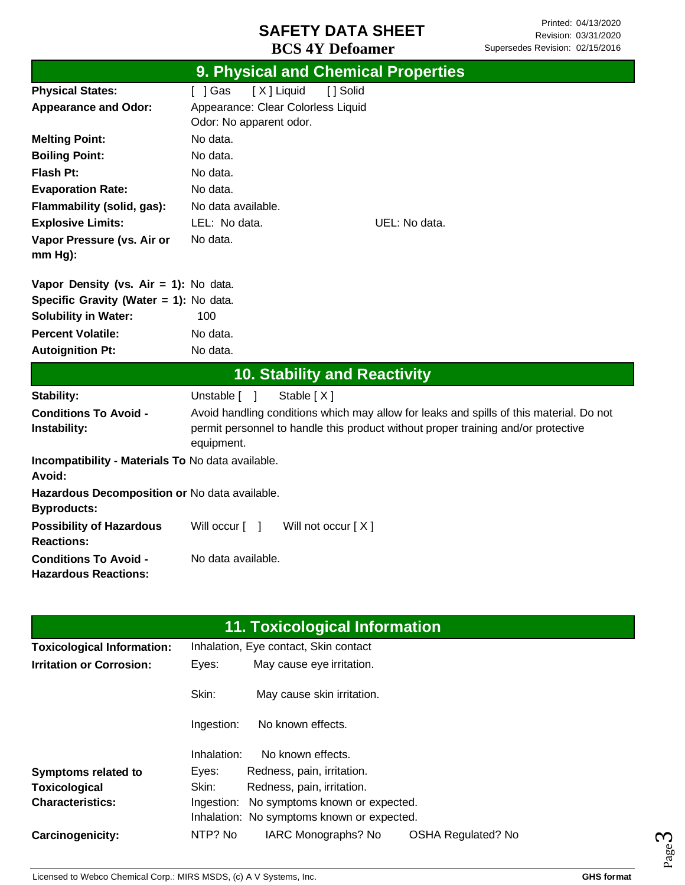|                                                                     | 9. Physical and Chemical Properties                                                                                                                                                        |
|---------------------------------------------------------------------|--------------------------------------------------------------------------------------------------------------------------------------------------------------------------------------------|
| <b>Physical States:</b>                                             | [X] Liquid<br>[] Solid<br>[ ] Gas                                                                                                                                                          |
| <b>Appearance and Odor:</b>                                         | Appearance: Clear Colorless Liquid<br>Odor: No apparent odor.                                                                                                                              |
| <b>Melting Point:</b>                                               | No data.                                                                                                                                                                                   |
| <b>Boiling Point:</b>                                               | No data.                                                                                                                                                                                   |
| Flash Pt:                                                           | No data.                                                                                                                                                                                   |
| <b>Evaporation Rate:</b>                                            | No data.                                                                                                                                                                                   |
| Flammability (solid, gas):                                          | No data available.                                                                                                                                                                         |
| <b>Explosive Limits:</b>                                            | LEL: No data.<br>UEL: No data.                                                                                                                                                             |
| Vapor Pressure (vs. Air or<br>$mm Hg$ ):                            | No data.                                                                                                                                                                                   |
| Vapor Density (vs. Air = 1): No data.                               |                                                                                                                                                                                            |
| Specific Gravity (Water = 1): No data.                              |                                                                                                                                                                                            |
| <b>Solubility in Water:</b>                                         | 100                                                                                                                                                                                        |
| <b>Percent Volatile:</b>                                            | No data.                                                                                                                                                                                   |
| <b>Autoignition Pt:</b>                                             | No data.                                                                                                                                                                                   |
|                                                                     | <b>10. Stability and Reactivity</b>                                                                                                                                                        |
| Stability:                                                          | Stable [X]<br>Unstable [ ]                                                                                                                                                                 |
| <b>Conditions To Avoid -</b><br>Instability:                        | Avoid handling conditions which may allow for leaks and spills of this material. Do not<br>permit personnel to handle this product without proper training and/or protective<br>equipment. |
| Incompatibility - Materials To No data available.<br>Avoid:         |                                                                                                                                                                                            |
| Hazardous Decomposition or No data available.<br><b>Byproducts:</b> |                                                                                                                                                                                            |
| <b>Possibility of Hazardous</b><br><b>Reactions:</b>                | Will occur $\lceil \quad \rceil$<br>Will not occur [X]                                                                                                                                     |
| <b>Conditions To Avoid -</b><br><b>Hazardous Reactions:</b>         | No data available.                                                                                                                                                                         |

| 11. Toxicological Information     |             |                                            |                           |  |  |  |  |
|-----------------------------------|-------------|--------------------------------------------|---------------------------|--|--|--|--|
| <b>Toxicological Information:</b> |             | Inhalation, Eye contact, Skin contact      |                           |  |  |  |  |
| <b>Irritation or Corrosion:</b>   | Eyes:       | May cause eye irritation.                  |                           |  |  |  |  |
|                                   | Skin:       | May cause skin irritation.                 |                           |  |  |  |  |
|                                   | Ingestion:  | No known effects.                          |                           |  |  |  |  |
|                                   | Inhalation: | No known effects.                          |                           |  |  |  |  |
| <b>Symptoms related to</b>        | Eyes:       | Redness, pain, irritation.                 |                           |  |  |  |  |
| Toxicological                     | Skin:       | Redness, pain, irritation.                 |                           |  |  |  |  |
| <b>Characteristics:</b>           | Ingestion:  | No symptoms known or expected.             |                           |  |  |  |  |
|                                   |             | Inhalation: No symptoms known or expected. |                           |  |  |  |  |
| <b>Carcinogenicity:</b>           | NTP? No     | IARC Monographs? No                        | <b>OSHA Regulated? No</b> |  |  |  |  |

Page ო